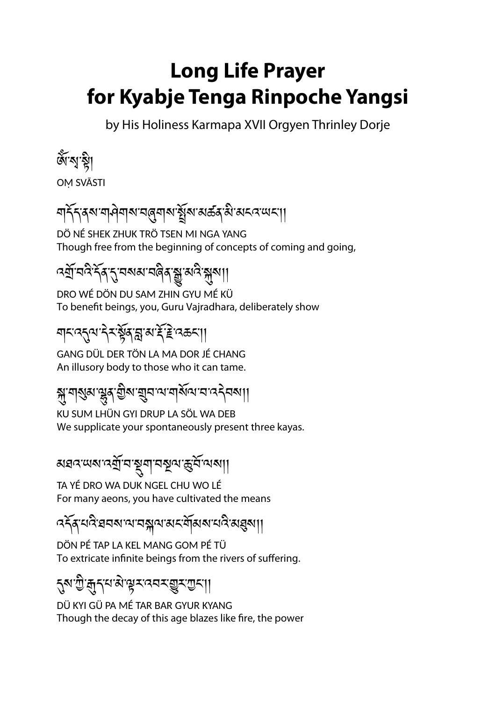## **Long Life Prayer for Kyabje Tenga Rinpoche Yangsi**

by His Holiness Karmapa XVII Orgyen Thrinley Dorje

জ্যেষ্টা

OṂ SVĀSTI

# গার্ন্দ্র্যামান্দ্রিগাম্প্রেম্বার্মার্ষ্ট্র্যাম্বর্ত্ত্বার্ম্বার্ম্ম্বা।

DÖ NÉ SHEK ZHUK TRÖ TSEN MI NGA YANG Though free from the beginning of concepts of coming and going,

# বর্ষ্রাঘ্নিং বিশ্বযুষ্মতা বিশ্বযুষ্ম বিশ্বযু

DRO WÉ DÖN DU SAM ZHIN GYU MÉ KÜ To benefit beings, you, Guru Vajradhara, deliberately show

#### য়ৼ৽৻ঽ৸ৼৗৼ৻য়৸ৼ৻ৼ৻ৼ৸ৼ৸ৼ৻৸

GANG DÜL DER TÖN LA MA DOR JÉ CHANG An illusory body to those who it can tame.

# ক্সুশ্রুম্ শ্লুম্বুম্ভিম্ শ্লুনত্ম শ্রম্পিত্ম নত্র নক্ষা

KU SUM LHÜN GYI DRUP LA SÖL WA DEB We supplicate your spontaneously present three kayas.

### अञ्चत्र्यात्र्याञ्चञ्जूषाञ्चूर्याञ्च्ञ्चाणि

TA YÉ DRO WA DUK NGEL CHU WO LÉ For many aeons, you have cultivated the means

#### འདོན་པའི་ཐབས་ལ་བསྐལ་མང་གོམས་པའི་མཐུས།།

DÖN PÉ TAP LA KEL MANG GOM PÉ TÜ To extricate infinite beings from the rivers of suffering.

#### <sub></sub>ঀৣয়ৼৗৢৼড়ৢৼড়ৼৗৢ

DÜ KYI GÜ PA MÉ TAR BAR GYUR KYANG Though the decay of this age blazes like fire, the power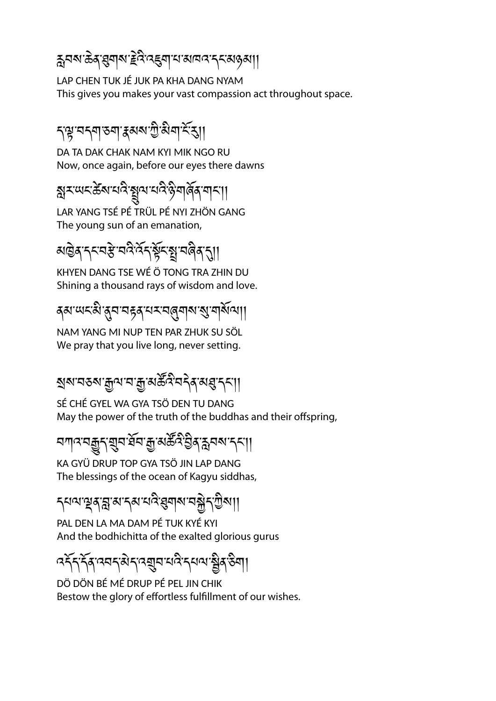# হ্ননৰ ক্টব্ৰস্থনাৰ দ্ৰবি বহুনা বাৰানৰ ব্যৱস্থা।

LAP CHEN TUK JÉ JUK PA KHA DANG NYAM This gives you makes your vast compassion act throughout space.

### ད་ལྟ་བདག་ཅག་རྣམས་ཀྱི་མིག་ངོ་རུ།།

DA TA DAK CHAK NAM KYI MIK NGO RU Now, once again, before our eyes there dawns

ষ্ক্ৰহ অহস্কিৰ ঘন্ট ষ্ট্ৰাম্ম ঘন্ট ষ্ট মাৰ্জিৰ মানা।

LAR YANG TSÉ PÉ TRÜL PÉ NYI ZHÖN GANG The young sun of an emanation,

# མཁྱེན་དང་བརྩེ་བའི་འོད་སྟོང་སྤྲ་བཞིན་དུ།།

KHYEN DANG TSE WÉ Ö TONG TRA ZHIN DU Shining a thousand rays of wisdom and love.

## ৰম' মেহমী'ৰ্মুন'নহৰ' শৰ্মান্ত্ৰীৰ মাজু মাৰ্শিৰ স্থা

NAM YANG MI NUP TEN PAR ZHUK SU SÖL We pray that you live long, never setting.

# <u>য়</u>য়ৼ৶ৼয়ড়৸ৼ৸ৼয়ৣ৾ৼয়ড়৸ৼ৻য়৸ৼ৸ৼ৸৸

SÉ CHÉ GYEL WA GYA TSÖ DEN TU DANG May the power of the truth of the buddhas and their offspring,

## <u> ব</u>্যান্ত ব্রন্ধুমুম ইন্সু মুক্ত ব্রিষ্ট বিশ্বন ব্রন্থ।

KA GYÜ DRUP TOP GYA TSÖ JIN LAP DANG The blessings of the ocean of Kagyu siddhas,

#### *ॸ*্যমস্থ্রসম্ভ্রাসম্প্রযুগ বর্ষীসম্ভ্রা।

PAL DEN LA MA DAM PÉ TUK KYÉ KYI And the bodhichitta of the exalted glorious gurus

## বর্ষ্ট্রান্ত্র্বান্ত্র্ব্র্মান্ত্র্বিষ্ট্রমা

DÖ DÖN BÉ MÉ DRUP PÉ PEL JIN CHIK Bestow the glory of effortless fulfillment of our wishes.